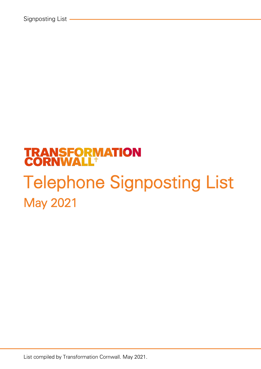## **TRANSFORMATION**<br>CORNWALL<sup>+</sup> Telephone Signposting List May 2021

List compiled by Transformation Cornwall. May 2021.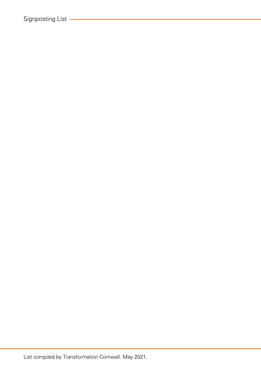Signposting List - The Community of Signposting List - The Community of Signal Assembly of Signal Assembly of Signal Assembly of Signal Assembly of Signal Assembly of Signal Assembly of Signal Assembly of Signal Assembly o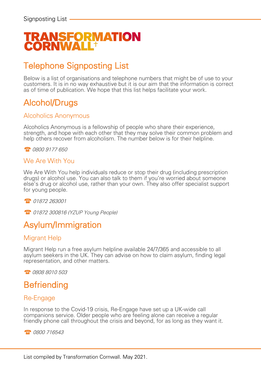# **TRANSFORMATION**<br>CORNWALL<sup>+</sup>

## Telephone Signposting List

Below is a list of organisations and telephone numbers that might be of use to your customers. It is in no way exhaustive but it is our aim that the information is correct as of time of publication. We hope that this list helps facilitate your work.

## Alcohol/Drugs

#### Alcoholics Anonymous

Alcoholics Anonymous is a fellowship of people who share their experience, strength, and hope with each other that they may solve their common problem and help others recover from alcoholism. The number below is for their helpline.

*0800 9177 650*

#### We Are With You

We Are With You help individuals reduce or stop their drug (including prescription drugs) or alcohol use. You can also talk to them if you're worried about someone else's drug or alcohol use, rather than your own. They also offer specialist support for young people.

*01872 263001*

*01872 300816 (YZUP Young People)*

## Asylum/Immigration

#### Migrant Help

Migrant Help run a free asylum helpline available 24/7/365 and accessible to all asylum seekers in the UK. They can advise on how to claim asylum, finding legal representation, and other matters.

*0808 8010 503*

## **Befriending**

#### Re-Engage

In response to the Covid-19 crisis, Re-Engage have set up a UK-wide call companions service. Older people who are feeling alone can receive a regular friendly phone call throughout the crisis and beyond, for as long as they want it.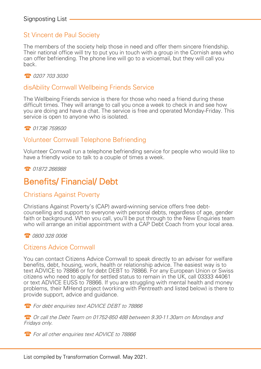#### St Vincent de Paul Society

The members of the society help those in need and offer them sincere friendship. Their national office will try to put you in touch with a group in the Cornish area who can offer befriending. The phone line will go to a voicemail, but they will call you back.

*0207 703 3030*

#### disAbility Cornwall Wellbeing Friends Service

The Wellbeing Friends service is there for those who need a friend during these difficult times. They will arrange to call you once a week to check in and see how you are doing and have a chat. The service is free and operated Monday-Friday. This service is open to anyone who is isolated.

*01736 759500*

#### Volunteer Cornwall Telephone Befriending

Volunteer Cornwall run a telephone befriending service for people who would like to have a friendly voice to talk to a couple of times a week.

*01872 266988*

## Benefits/ Financial/ Debt

#### Christians Against Poverty

Christians Against Poverty's (CAP) award-winning service offers free debtcounselling and support to everyone with personal debts, regardless of age, gender faith or background. When you call, you'll be put through to the New Enquiries team who will arrange an initial appointment with a CAP Debt Coach from your local area.

*0800 328 0006*

#### Citizens Advice Cornwall

You can contact Citizens Advice Cornwall to speak directly to an adviser for welfare benefits, debt, housing, work, health or relationship advice. The easiest way is to text ADVICE to 78866 or for debt DEBT to 78866. For any European Union or Swiss citizens who need to apply for settled status to remain in the UK, call 03333 44061 or text ADVICE EUSS to 78866. If you are struggling with mental health and money problems, their MHend project (working with Pentreath and listed below) is there to provide support, advice and guidance.

*For debt enquiries text ADVICE DEBT to 78866*

*Or call the Debt Team on 01752-850 488 between 9.30-11.30am on Mondays and Fridays only.*

*For all other enquiries text ADVICE to 78866*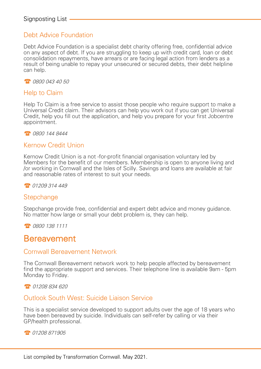#### Debt Advice Foundation

Debt Advice Foundation is a specialist debt charity offering free, confidential advice on any aspect of debt. If you are struggling to keep up with credit card, loan or debt consolidation repayments, have arrears or are facing legal action from lenders as a result of being unable to repay your unsecured or secured debts, their debt helpline can help.



#### Help to Claim

Help To Claim is a free service to assist those people who require support to make a Universal Credit claim. Their advisors can help you work out if you can get Universal Credit, help you fill out the application, and help you prepare for your first Jobcentre appointment.

*0800 144 8444*

#### Kernow Credit Union

Kernow Credit Union is a not -for-profit financial organisation voluntary led by Members for the benefit of our members. Membership is open to anyone living and /or working in Cornwall and the Isles of Scilly. Savings and loans are available at fair and reasonable rates of interest to suit your needs.

*01209 314 449*

#### **Stepchange**

Stepchange provide free, confidential and expert debt advice and money guidance. No matter how large or small your debt problem is, they can help.

*0800 138 1111*

### Bereavement

#### Cornwall Bereavement Network

The Cornwall Bereavement network work to help people affected by bereavement find the appropriate support and services. Their telephone line is available 9am - 5pm Monday to Friday.

*01208 834 620*

#### Outlook South West: Suicide Liaison Service

This is a specialist service developed to support adults over the age of 18 years who have been bereaved by suicide. Individuals can self-refer by calling or via their GP/health professional.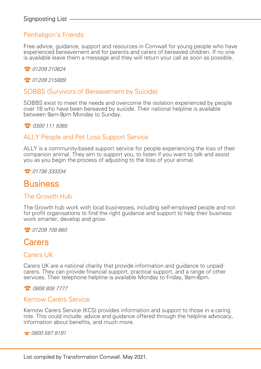#### Penhaligon's Friends

Free advice, guidance, support and resources in Cornwall for young people who have experienced bereavement and for parents and carers of bereaved children. If no one is available leave them a message and they will return your call as soon as possible.

*01209 210624*

*01209 215889*

#### SOBBS (Survivors of Bereavement by Suicide)

SOBBS exist to meet the needs and overcome the isolation experienced by people over 18 who have been bereaved by suicide. Their national helpline is available between 9am-9pm Monday to Sunday.

*0300 111 5065*

#### ALLY People and Pet Loss Support Service

ALLY is a community-based support service for people experiencing the loss of their companion animal. They aim to support you, to listen if you want to talk and assist you as you begin the process of adjusting to the loss of your animal.

*01736 333334*

## **Business**

#### The Growth Hub

The Growth hub work with local businesses, including self-employed people and not for profit organisations to find the right guidance and support to help their business work smarter, develop and grow.

*01209 708 660*

### **Carers**

#### Carers UK

Carers UK are a national charity that provide information and guidance to unpaid carers. They can provide financial support, practical support, and a range of other services. Their telephone helpline is available Monday to Friday, 9am-6pm.

*0808 808 7777*

#### Kernow Carers Service

Kernow Carers Service (KCS) provides information and support to those in a caring role. This could include: advice and guidance offered through the helpline advocacy, information about benefits, and much more.

*0800 587 8191*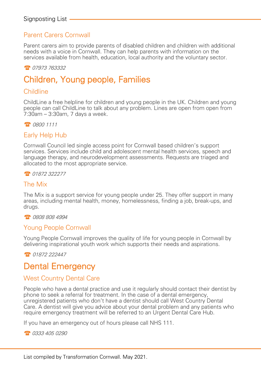#### Parent Carers Cornwall

Parent carers aim to provide parents of disabled children and children with additional needs with a voice in Cornwall. They can help parents with information on the services available from health, education, local authority and the voluntary sector.

#### *07973 763332*

## Children, Young people, Families

#### **Childline**

ChildLine a free helpline for children and young people in the UK. Children and young people can call ChildLine to talk about any problem. Lines are open from open from 7:30am – 3:30am, 7 days a week.

*0800 1111*

#### Early Help Hub

Cornwall Council led single access point for Cornwall based children's support services. Services include child and adolescent mental health services, speech and language therapy, and neurodevelopment assessments. Requests are triaged and allocated to the most appropriate service.

*01872 322277*

#### The Mix

The Mix is a support service for young people under 25. They offer support in many areas, including mental health, money, homelessness, finding a job, break-ups, and drugs.

*0808 808 4994*

#### Young People Cornwall

Young People Cornwall improves the quality of life for young people in Cornwall by delivering inspirational youth work which supports their needs and aspirations.

*01872 222447*

## Dental Emergency

#### West Country Dental Care

People who have a dental practice and use it regularly should contact their dentist by phone to seek a referral for treatment. In the case of a dental emergency, unregistered patients who don't have a dentist should call West Country Dental Care. A dentist will give you advice about your dental problem and any patients who require emergency treatment will be referred to an Urgent Dental Care Hub.

If you have an emergency out of hours please call NHS 111.

*0333 405 0290*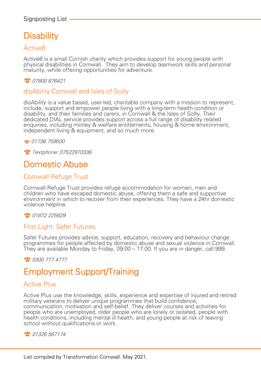## **Disability**

#### Active8

Active8 is a small Cornish charity which provides support for young people with physical disabilities in Cornwall. They aim to develop teamwork skills and personal maturity, while offering opportunities for adventure.

*07800 876421*

#### disAbility Cornwall and Isles of Scilly

disAbility is a value based, user-led, charitable company with a mission to represent, include, support and empower people living with a long-term health condition or disability, and their families and carers, in Cornwall & the Isles of Scilly. Their dedicated DIAL service provides support across a full range of disability related enquiries, including money & welfare entitlements, housing & home environment, independent living & equipment, and so much more.

*01736 759500*

*Textphone: 07522970336*

## Domestic Abuse

#### Cornwall Refuge Trust

Cornwall Refuge Trust provides refuge accommodation for women, men and children who have escaped domestic abuse, offering them a safe and supportive environment in which to recover from their experiences. They have a 24hr domestic violence helpline.

#### *01872 225629*

#### First Light: Safer Futures

Safer Futures provides advice, support, education, recovery and behaviour change programmes for people affected by domestic abuse and sexual violence in Cornwall. They are available Monday to Friday, 09:00 – 17:00. If you are in danger, call 999.

#### *0300 777 4777*

## Employment Support/Training

#### Active Plus

Active Plus use the knowledge, skills, experience and expertise of injured and retired military veterans to deliver unique programmes that build confidence, communication, motivation and self-belief. They deliver courses and activities for people who are unemployed, older people who are lonely or isolated, people with health conditions, including mental ill health, and young people at risk of leaving school without qualifications or work.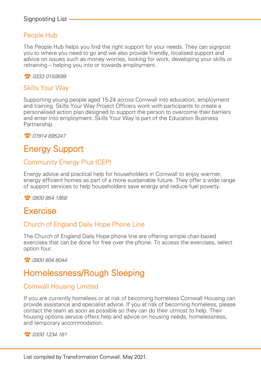#### Signposting List .

#### People Hub

The People Hub helps you find the right support for your needs. They can signpost you to where you need to go and we also provide friendly, localised support and advice on issues such as money worries, looking for work, developing your skills or retraining – helping you into or towards employment.

*0333 0150699*

#### Skills Your Way

Supporting young people aged 15-24 across Cornwall into education, employment and training. Skills Your Way Project Officers work with participants to create a personalised action plan designed to support the person to overcome their barriers and enter into employment. Skills Your Way is part of the Education Business Partnership.

*07914 695247*

## Energy Support

#### Community Energy Plus (CEP)

Energy advice and practical help for householders in Cornwall to enjoy warmer, energy efficient homes as part of a more sustainable future. They offer a wide range of support services to help householders save energy and reduce fuel poverty.

*0800 954 1956*

### Exercise

#### Church of England Daily Hope Phone Line

The Church of England Daily Hope phone line are offering simple chair-based exercises that can be done for free over the phone. To access the exercises, select option four.

#### *0800 804 8044*

## Homelessness/Rough Sleeping

#### Cornwall Housing Limited

If you are currently homeless or at risk of becoming homeless Cornwall Housing can provide assistance and specialist advice. If you at risk of becoming homeless, please contact the team as soon as possible so they can do their utmost to help. Their housing options service offers help and advice on housing needs, homelessness, and temporary accommodation.

*0300 1234 161*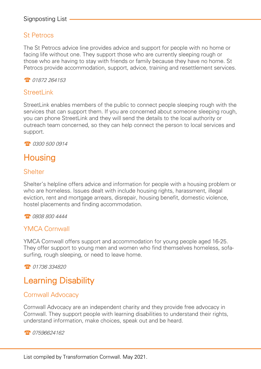#### Signposting List .

#### St Petrocs

The St Petrocs advice line provides advice and support for people with no home or facing life without one. They support those who are currently sleeping rough or those who are having to stay with friends or family because they have no home. St Petrocs provide accommodation, support, advice, training and resettlement services.

*01872 264153*

#### StreetLink

StreetLink enables members of the public to connect people sleeping rough with the services that can support them. If you are concerned about someone sleeping rough, you can phone StreetLink and they will send the details to the local authority or outreach team concerned, so they can help connect the person to local services and support.

*0300 500 0914*

## **Housing**

#### **Shelter**

Shelter's helpline offers advice and information for people with a housing problem or who are homeless. Issues dealt with include housing rights, harassment, illegal eviction, rent and mortgage arrears, disrepair, housing benefit, domestic violence, hostel placements and finding accommodation.

*0808 800 4444*

#### YMCA Cornwall

YMCA Cornwall offers support and accommodation for young people aged 16-25. They offer support to young men and women who find themselves homeless, sofasurfing, rough sleeping, or need to leave home.

*01736 334820*

## Learning Disability

#### Cornwall Advocacy

Cornwall Advocacy are an independent charity and they provide free advocacy in Cornwall. They support people with learning disabilities to understand their rights, understand information, make choices, speak out and be heard.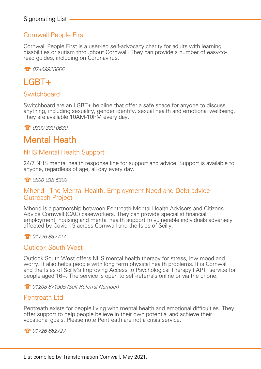#### Cornwall People First

Cornwall People First is a user-led self-advocacy charity for adults with learning disabilities or autism throughout Cornwall. They can provide a number of easy-toread guides, including on Coronavirus.

*07469928565*

## LGBT+

#### **Switchboard**

Switchboard are an LGBT+ helpline that offer a safe space for anyone to discuss anything, including sexuality, gender identity, sexual health and emotional wellbeing. They are available 10AM-10PM every day.

*0300 330 0630*

## Mental Heath

#### NHS Mental Health Support

24/7 NHS mental health response line for support and advice. Support is available to anyone, regardless of age, all day every day.

*0800 038 5300*

#### Mhend - The Mental Health, Employment Need and Debt advice Outreach Project

Mhend is a partnership between Pentreath Mental Health Advisers and Citizens Advice Cornwall (CAC) caseworkers. They can provide specialist financial, employment, housing and mental health support to vulnerable individuals adversely affected by Covid-19 across Cornwall and the Isles of Scilly.

#### *01726 862727*

#### Outlook South West

Outlook South West offers NHS mental health therapy for stress, low mood and worry. It also helps people with long term physical health problems. It is Cornwall and the Isles of Scilly's Improving Access to Psychological Therapy (IAPT) service for people aged 16+. The service is open to self-referrals online or via the phone.

*01208 871905 (Self-Referral Number)*

#### Pentreath Ltd

Pentreath exists for people living with mental health and emotional difficulties. They offer support to help people believe in their own potential and achieve their vocational goals. Please note Pentreath are not a crisis service.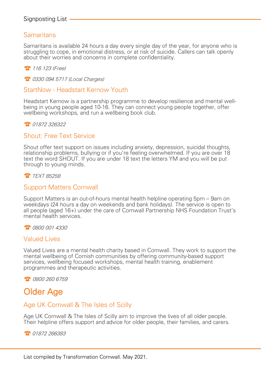#### Signposting List -

#### **Samaritans**

Samaritans is available 24 hours a day every single day of the year, for anyone who is struggling to cope, in emotional distress, or at risk of suicide. Callers can talk openly about their worries and concerns in complete confidentiality.

#### *116 123 (Free)*

*0330 094 5717 (Local Charges)*

#### StartNow - Headstart Kernow Youth

Headstart Kernow is a partnership programme to develop resilience and mental wellbeing in young people aged 10-16. They can connect young people together, offer wellbeing workshops, and run a wellbeing book club.

#### *01872 326322*

#### Shout: Free Text Service

Shout offer text support on issues including anxiety, depression, suicidal thoughts, relationship problems, bullying or if you're feeling overwhelmed. If you are over 18 text the word SHOUT. If you are under 18 text the letters YM and you will be put through to young minds.

#### *TEXT 85258*

#### Support Matters Cornwall

Support Matters is an out-of-hours mental health helpline operating 5pm – 9am on weekdays (24 hours a day on weekends and bank holidays). The service is open to all people (aged 16+) under the care of Cornwall Partnership NHS Foundation Trust's mental health services.

*0800 001 4330*

#### Valued Lives

Valued Lives are a mental health charity based in Cornwall. They work to support the mental wellbeing of Cornish communities by offering community-based support services, wellbeing focused workshops, mental health training, enablement programmes and therapeutic activities.

*0800 260 6759*

## Older Age

#### Age UK Cornwall & The Isles of Scilly

Age UK Cornwall & The Isles of Scilly aim to improve the lives of all older people. Their helpline offers support and advice for older people, their families, and carers.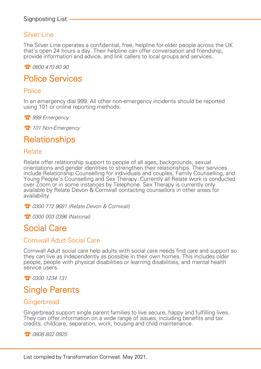#### Signposting List -

#### Silver Line

The Silver Line operates a confidential, free, helpline for older people across the UK that's open 24 hours a day. Their helpline can offer conversation and friendship, provide information and advice, and link callers to local groups and services.

*0800 470 80 90*

## Police Services

#### Police

In an emergency dial 999. All other non-emergency incidents should be reported using 101 or online reporting methods.

*999 Emergency*

*101 Non-Emergency*

## **Relationships**

#### Relate

Relate offer relationship support to people of all ages, backgrounds, sexual orientations and gender identities to strengthen their relationships. Their services include Relationship Counselling for individuals and couples, Family Counselling, and Young People's Counselling and Sex Therapy. Currently all Relate work is conducted over Zoom or in some instances by Telephone. Sex Therapy is currently only available by Relate Devon & Cornwall contacting counsellors in other areas for availability.

*0300 772 9681 (Relate Devon & Cornwall)*

*0300 003 0396 (National)*

## Social Care

#### Cornwall Adult Social Care

Cornwall Adult social care help adults with social care needs find care and support so they can live as independently as possible in their own homes. This includes older people, people with physical disabilities or learning disabilities, and mental health service users.

*0300 1234 131*

## Single Parents

#### **Gingerbread**

Gingerbread support single parent families to live secure, happy and fulfilling lives. They can offer information on a wide range of issues, including benefits and tax credits, childcare, separation, work, housing and child maintenance.

*0808 802 0925*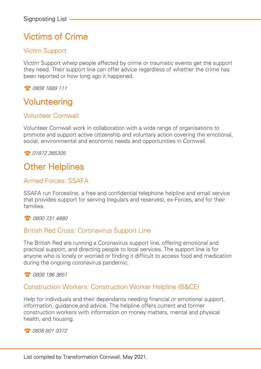## Victims of Crime

#### Victim Support

Victim Support whelp people affected by crime or traumatic events get the support they need. Their support line can offer advice regardless of whether the crime has been reported or how long ago it happened.

*0808 1689 111*

## **Volunteering**

#### Volunteer Cornwall

Volunteer Cornwall work in collaboration with a wide range of organisations to promote and support active citizenship and voluntary action covering the emotional, social, environmental and economic needs and opportunities in Cornwall.

*01872 265305*

## **Other Helplines**

#### Armed Forces: SSAFA

SSAFA run Forcesline, a free and confidential telephone helpline and email service that provides support for serving (regulars and reserves), ex-Forces, and for their families.

*0800 731 4880*

#### British Red Cross: Coronavirus Support Line

The British Red are running a Coronavirus support line, offering emotional and practical support, and directing people to local services. The support line is for anyone who is lonely or worried or finding it difficult to access food and medication during the ongoing coronavirus pandemic.

*0808 196 3651*

#### Construction Workers: Construction Worker Helpline (B&CE)

Help for individuals and their dependants needing financial or emotional support, information, guidance and advice. The helpline offers current and former construction workers with information on money matters, mental and physical health, and housing.

*0808 801 0372*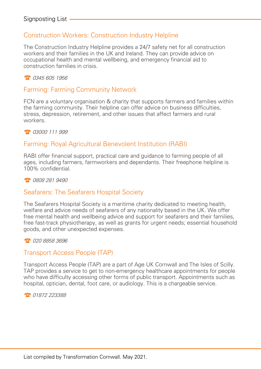#### Construction Workers: Construction Industry Helpline

The Construction Industry Helpline provides a 24/7 safety net for all construction workers and their families in the UK and Ireland. They can provide advice on occupational health and mental wellbeing, and emergency financial aid to construction families in crisis.

#### *0345 605 1956*

#### Farming: Farming Community Network

FCN are a voluntary organisation & charity that supports farmers and families within the farming community. Their helpline can offer advice on business difficulties, stress, depression, retirement, and other issues that affect farmers and rural workers.

*03000 111 999*

#### Farming: Royal Agricultural Benevolent Institution (RABI)

RABI offer financial support, practical care and guidance to farming people of all ages, including farmers, farmworkers and dependants. Their freephone helpline is 100% confidential.

*0808 281 9490*

#### Seafarers: The Seafarers Hospital Society

The Seafarers Hospital Society is a maritime charity dedicated to meeting health, welfare and advice needs of seafarers of any nationality based in the UK. We offer free mental health and wellbeing advice and support for seafarers and their families, free fast-track physiotherapy, as well as grants for urgent needs; essential household goods, and other unexpected expenses.

*020 8858 3696*

#### Transport Access People (TAP)

Transport Access People (TAP) are a part of Age UK Cornwall and The Isles of Scilly. TAP provides a service to get to non-emergency healthcare appointments for people who have difficulty accessing other forms of public transport. Appointments such as hospital, optician, dental, foot care, or audiology. This is a chargeable service.